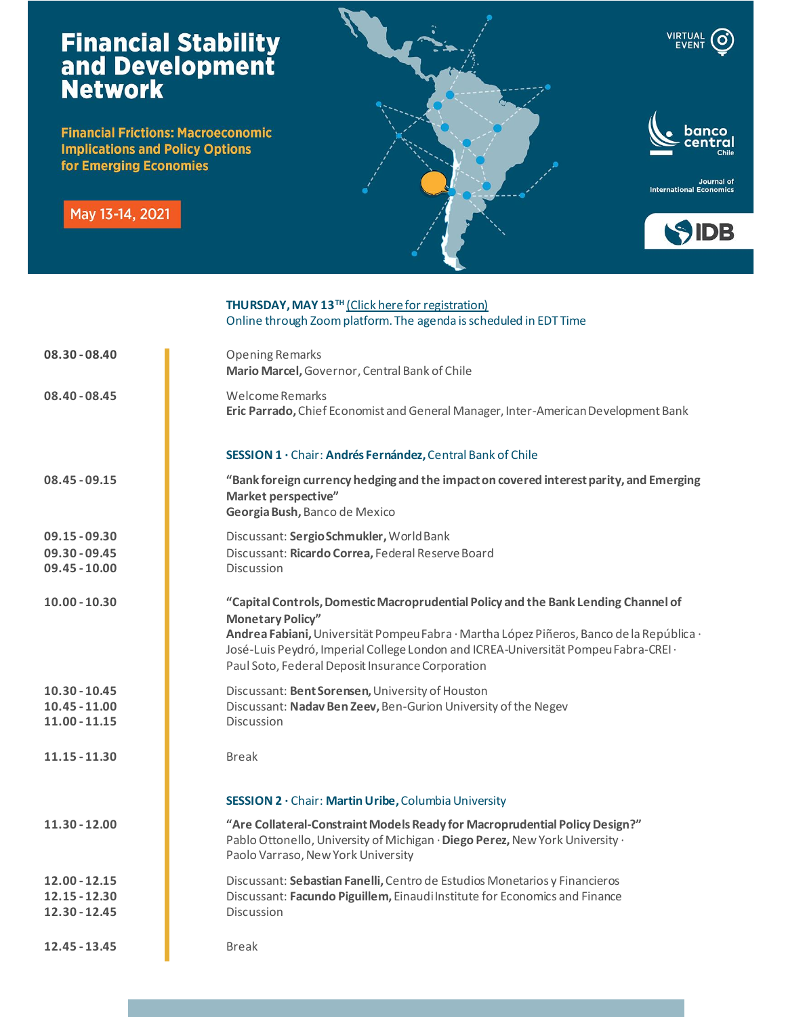## **Financial Stability<br>and Development<br>Network**

**Financial Frictions: Macroeconomic Implications and Policy Options** for Emerging Economies

May 13-14, 2021



VIRTUAL<br>EVENT

(၀)

Journal of<br>International Economics



|                 | THURSDAY, MAY 13 <sup>TH</sup> (Click here for registration)<br>Online through Zoom platform. The agenda is scheduled in EDT Time                                                                                                                                                                                                                    |
|-----------------|------------------------------------------------------------------------------------------------------------------------------------------------------------------------------------------------------------------------------------------------------------------------------------------------------------------------------------------------------|
| $08.30 - 08.40$ | <b>Opening Remarks</b><br>Mario Marcel, Governor, Central Bank of Chile                                                                                                                                                                                                                                                                              |
| $08.40 - 08.45$ | Welcome Remarks<br>Eric Parrado, Chief Economist and General Manager, Inter-American Development Bank                                                                                                                                                                                                                                                |
|                 | SESSION 1 · Chair: Andrés Fernández, Central Bank of Chile                                                                                                                                                                                                                                                                                           |
| $08.45 - 09.15$ | "Bank foreign currency hedging and the impact on covered interest parity, and Emerging<br>Market perspective"<br>Georgia Bush, Banco de Mexico                                                                                                                                                                                                       |
| $09.15 - 09.30$ | Discussant: Sergio Schmukler, World Bank                                                                                                                                                                                                                                                                                                             |
| $09.30 - 09.45$ | Discussant: Ricardo Correa, Federal Reserve Board                                                                                                                                                                                                                                                                                                    |
| $09.45 - 10.00$ | Discussion                                                                                                                                                                                                                                                                                                                                           |
| $10.00 - 10.30$ | "Capital Controls, Domestic Macroprudential Policy and the Bank Lending Channel of<br><b>Monetary Policy"</b><br>Andrea Fabiani, Universität Pompeu Fabra · Martha López Piñeros, Banco de la República ·<br>José-Luis Peydró, Imperial College London and ICREA-Universität Pompeu Fabra-CREI ·<br>Paul Soto, Federal Deposit Insurance Corporation |
| $10.30 - 10.45$ | Discussant: Bent Sorensen, University of Houston                                                                                                                                                                                                                                                                                                     |
| $10.45 - 11.00$ | Discussant: Nadav Ben Zeev, Ben-Gurion University of the Negev                                                                                                                                                                                                                                                                                       |
| $11.00 - 11.15$ | Discussion                                                                                                                                                                                                                                                                                                                                           |
| $11.15 - 11.30$ | <b>Break</b>                                                                                                                                                                                                                                                                                                                                         |
|                 | SESSION 2 · Chair: Martin Uribe, Columbia University                                                                                                                                                                                                                                                                                                 |
| 11.30 - 12.00   | "Are Collateral-Constraint Models Ready for Macroprudential Policy Design?"<br>Pablo Ottonello, University of Michigan · Diego Perez, New York University ·<br>Paolo Varraso, New York University                                                                                                                                                    |
| $12.00 - 12.15$ | Discussant: Sebastian Fanelli, Centro de Estudios Monetarios y Financieros                                                                                                                                                                                                                                                                           |
| $12.15 - 12.30$ | Discussant: Facundo Piguillem, Einaudi Institute for Economics and Finance                                                                                                                                                                                                                                                                           |
| $12.30 - 12.45$ | <b>Discussion</b>                                                                                                                                                                                                                                                                                                                                    |
| 12.45 - 13.45   | <b>Break</b>                                                                                                                                                                                                                                                                                                                                         |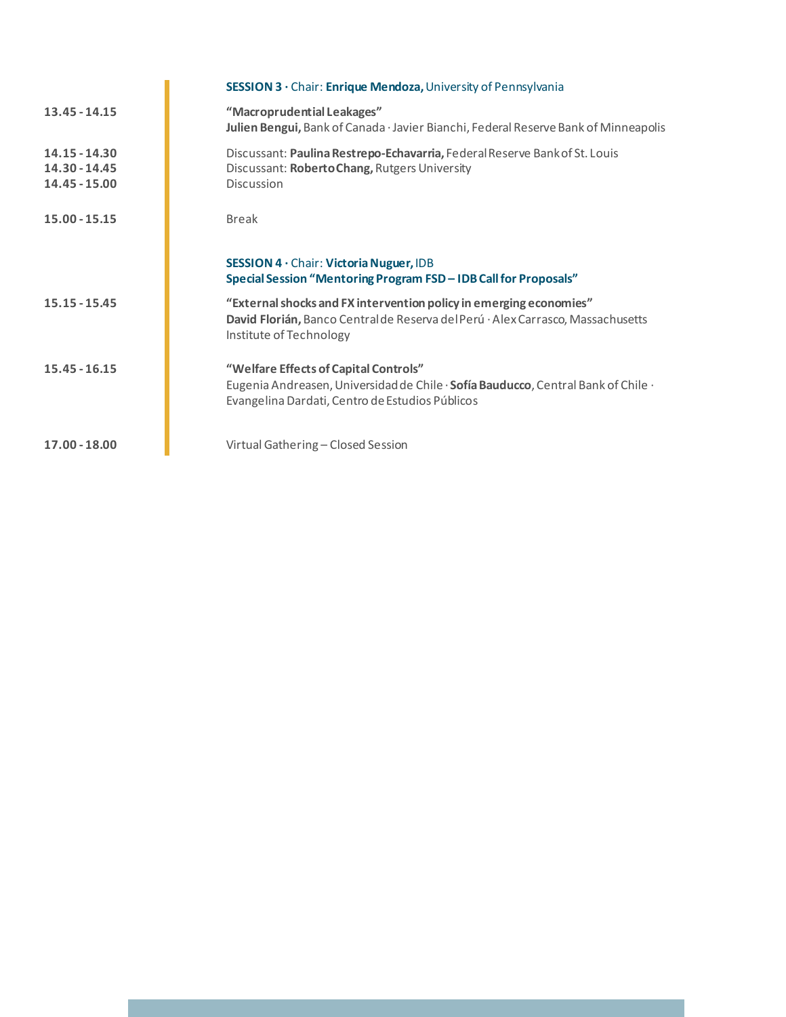|                                                   | SESSION 3 · Chair: Enrique Mendoza, University of Pennsylvania                                                                                                                  |
|---------------------------------------------------|---------------------------------------------------------------------------------------------------------------------------------------------------------------------------------|
| 13.45 - 14.15                                     | "Macroprudential Leakages"<br>Julien Bengui, Bank of Canada · Javier Bianchi, Federal Reserve Bank of Minneapolis                                                               |
| $14.15 - 14.30$<br>14.30 - 14.45<br>14.45 - 15.00 | Discussant: Paulina Restrepo-Echavarria, Federal Reserve Bank of St. Louis<br>Discussant: Roberto Chang, Rutgers University<br><b>Discussion</b>                                |
| $15.00 - 15.15$                                   | <b>Break</b>                                                                                                                                                                    |
|                                                   | <b>SESSION 4 · Chair: Victoria Nuguer, IDB</b><br>Special Session "Mentoring Program FSD - IDB Call for Proposals"                                                              |
| $15.15 - 15.45$                                   | "External shocks and FX intervention policy in emerging economies"<br>David Florián, Banco Centralde Reserva del Perú · Alex Carrasco, Massachusetts<br>Institute of Technology |
| $15.45 - 16.15$                                   | "Welfare Effects of Capital Controls"<br>Eugenia Andreasen, Universidad de Chile · Sofía Bauducco, Central Bank of Chile ·<br>Evangelina Dardati, Centro de Estudios Públicos   |
| 17.00 - 18.00                                     | Virtual Gathering - Closed Session                                                                                                                                              |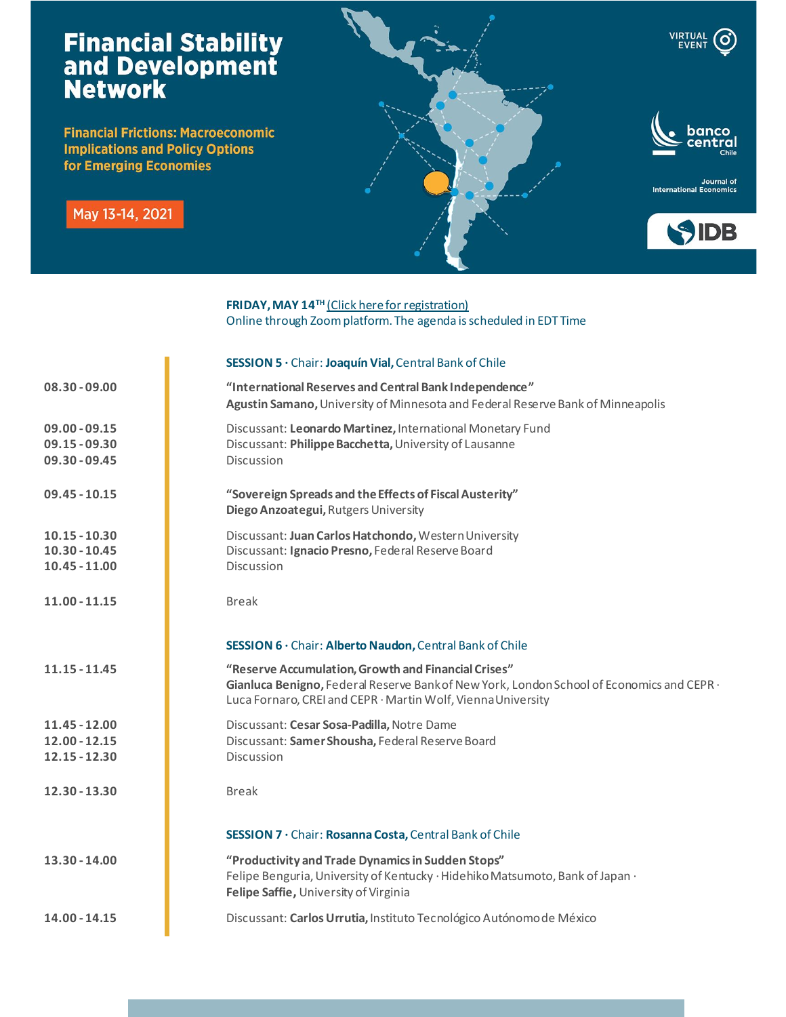## **Financial Stability<br>and Development<br>Network**

**Financial Frictions: Macroeconomic Implications and Policy Options** for Emerging Economies

May 13-14, 2021



Journal of<br>International Economics



## **FRIDAY, MAY 14<sup>TH</sup>** [\(Click here for registration\)](https://iadb-org.zoom.us/meeting/register/tJYkd-ugrTojE9BWRo3USTIW8eHuy0R3kqTN) Online through Zoom platform. The agenda is scheduled in EDT Time

|                                                       | SESSION 5 · Chair: Joaquín Vial, Central Bank of Chile                                                                                                                                                           |
|-------------------------------------------------------|------------------------------------------------------------------------------------------------------------------------------------------------------------------------------------------------------------------|
| $08.30 - 09.00$                                       | "International Reserves and Central Bank Independence"<br>Agustin Samano, University of Minnesota and Federal Reserve Bank of Minneapolis                                                                        |
| $09.00 - 09.15$<br>$09.15 - 09.30$<br>$09.30 - 09.45$ | Discussant: Leonardo Martinez, International Monetary Fund<br>Discussant: Philippe Bacchetta, University of Lausanne<br>Discussion                                                                               |
| $09.45 - 10.15$                                       | "Sovereign Spreads and the Effects of Fiscal Austerity"<br>Diego Anzoategui, Rutgers University                                                                                                                  |
| $10.15 - 10.30$<br>$10.30 - 10.45$<br>$10.45 - 11.00$ | Discussant: Juan Carlos Hatchondo, Western University<br>Discussant: Ignacio Presno, Federal Reserve Board<br>Discussion                                                                                         |
| $11.00 - 11.15$                                       | <b>Break</b>                                                                                                                                                                                                     |
|                                                       | SESSION 6 · Chair: Alberto Naudon, Central Bank of Chile                                                                                                                                                         |
| $11.15 - 11.45$                                       | "Reserve Accumulation, Growth and Financial Crises"<br>Gianluca Benigno, Federal Reserve Bank of New York, London School of Economics and CEPR ·<br>Luca Fornaro, CREI and CEPR · Martin Wolf, Vienna University |
| $11.45 - 12.00$<br>$12.00 - 12.15$                    | Discussant: Cesar Sosa-Padilla, Notre Dame<br>Discussant: Samer Shousha, Federal Reserve Board                                                                                                                   |
| $12.15 - 12.30$                                       | Discussion                                                                                                                                                                                                       |
| 12.30 - 13.30                                         | <b>Break</b>                                                                                                                                                                                                     |
|                                                       | SESSION 7 · Chair: Rosanna Costa, Central Bank of Chile                                                                                                                                                          |
| $13.30 - 14.00$                                       | "Productivity and Trade Dynamics in Sudden Stops"<br>Felipe Benguria, University of Kentucky · Hidehiko Matsumoto, Bank of Japan ·<br>Felipe Saffie, University of Virginia                                      |
| $14.00 - 14.15$                                       | Discussant: Carlos Urrutia, Instituto Tecnológico Autónomo de México                                                                                                                                             |
|                                                       |                                                                                                                                                                                                                  |